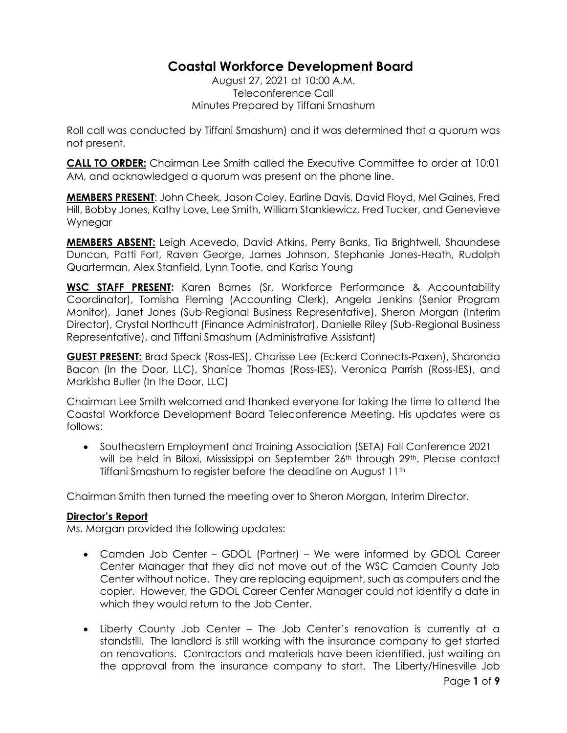# **Coastal Workforce Development Board**

August 27, 2021 at 10:00 A.M. Teleconference Call Minutes Prepared by Tiffani Smashum

Roll call was conducted by Tiffani Smashum) and it was determined that a quorum was not present.

**CALL TO ORDER:** Chairman Lee Smith called the Executive Committee to order at 10:01 AM, and acknowledged a quorum was present on the phone line.

**MEMBERS PRESENT**: John Cheek, Jason Coley, Earline Davis, David Floyd, Mel Gaines, Fred Hill, Bobby Jones, Kathy Love, Lee Smith, William Stankiewicz, Fred Tucker, and Genevieve Wynegar

**MEMBERS ABSENT:** Leigh Acevedo, David Atkins, Perry Banks, Tia Brightwell, Shaundese Duncan, Patti Fort, Raven George, James Johnson, Stephanie Jones-Heath, Rudolph Quarterman, Alex Stanfield, Lynn Tootle, and Karisa Young

**WSC STAFF PRESENT:** Karen Barnes (Sr. Workforce Performance & Accountability Coordinator), Tomisha Fleming (Accounting Clerk), Angela Jenkins (Senior Program Monitor), Janet Jones (Sub-Regional Business Representative), Sheron Morgan (Interim Director), Crystal Northcutt (Finance Administrator), Danielle Riley (Sub-Regional Business Representative), and Tiffani Smashum (Administrative Assistant)

**GUEST PRESENT:** Brad Speck (Ross-IES), Charisse Lee (Eckerd Connects-Paxen), Sharonda Bacon (In the Door, LLC), Shanice Thomas (Ross-IES), Veronica Parrish (Ross-IES), and Markisha Butler (In the Door, LLC)

Chairman Lee Smith welcomed and thanked everyone for taking the time to attend the Coastal Workforce Development Board Teleconference Meeting. His updates were as follows:

• Southeastern Employment and Training Association (SETA) Fall Conference 2021 will be held in Biloxi, Mississippi on September 26<sup>th</sup> through 29<sup>th</sup>. Please contact Tiffani Smashum to register before the deadline on August 11th

Chairman Smith then turned the meeting over to Sheron Morgan, Interim Director.

#### **Director's Report**

Ms. Morgan provided the following updates:

- Camden Job Center GDOL (Partner) We were informed by GDOL Career Center Manager that they did not move out of the WSC Camden County Job Center without notice. They are replacing equipment, such as computers and the copier. However, the GDOL Career Center Manager could not identify a date in which they would return to the Job Center.
- Liberty County Job Center The Job Center's renovation is currently at a standstill. The landlord is still working with the insurance company to get started on renovations. Contractors and materials have been identified, just waiting on the approval from the insurance company to start. The Liberty/Hinesville Job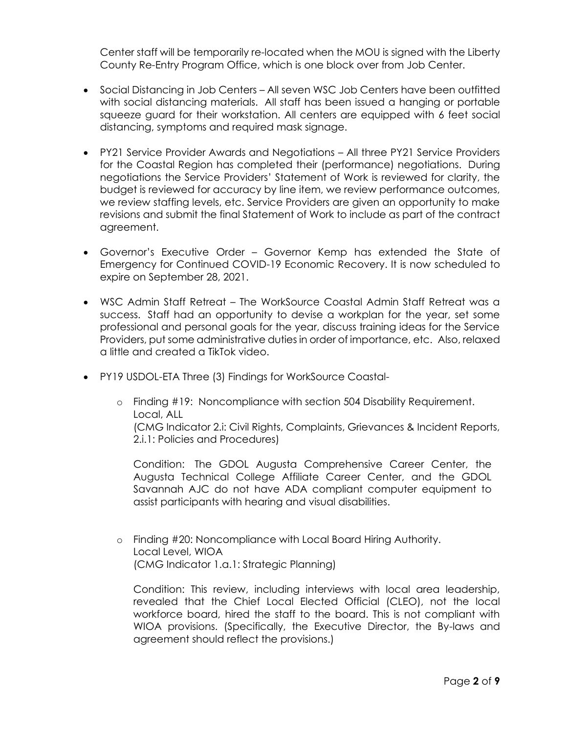Center staff will be temporarily re-located when the MOU is signed with the Liberty County Re-Entry Program Office, which is one block over from Job Center.

- Social Distancing in Job Centers All seven WSC Job Centers have been outfitted with social distancing materials. All staff has been issued a hanging or portable squeeze guard for their workstation. All centers are equipped with 6 feet social distancing, symptoms and required mask signage.
- PY21 Service Provider Awards and Negotiations All three PY21 Service Providers for the Coastal Region has completed their (performance) negotiations. During negotiations the Service Providers' Statement of Work is reviewed for clarity, the budget is reviewed for accuracy by line item, we review performance outcomes, we review staffing levels, etc. Service Providers are given an opportunity to make revisions and submit the final Statement of Work to include as part of the contract agreement.
- Governor's Executive Order Governor Kemp has extended the State of Emergency for Continued COVID-19 Economic Recovery. It is now scheduled to expire on September 28, 2021.
- WSC Admin Staff Retreat The WorkSource Coastal Admin Staff Retreat was a success. Staff had an opportunity to devise a workplan for the year, set some professional and personal goals for the year, discuss training ideas for the Service Providers, put some administrative duties in order of importance, etc. Also, relaxed a little and created a TikTok video.
- PY19 USDOL-ETA Three (3) Findings for WorkSource Coastal
	- o Finding #19: Noncompliance with section 504 Disability Requirement. Local, ALL (CMG Indicator 2.i: Civil Rights, Complaints, Grievances & Incident Reports, 2.i.1: Policies and Procedures)

Condition: The GDOL Augusta Comprehensive Career Center, the Augusta Technical College Affiliate Career Center, and the GDOL Savannah AJC do not have ADA compliant computer equipment to assist participants with hearing and visual disabilities.

o Finding #20: Noncompliance with Local Board Hiring Authority. Local Level, WIOA (CMG Indicator 1.a.1: Strategic Planning)

Condition: This review, including interviews with local area leadership, revealed that the Chief Local Elected Official (CLEO), not the local workforce board, hired the staff to the board. This is not compliant with WIOA provisions. (Specifically, the Executive Director, the By-laws and agreement should reflect the provisions.)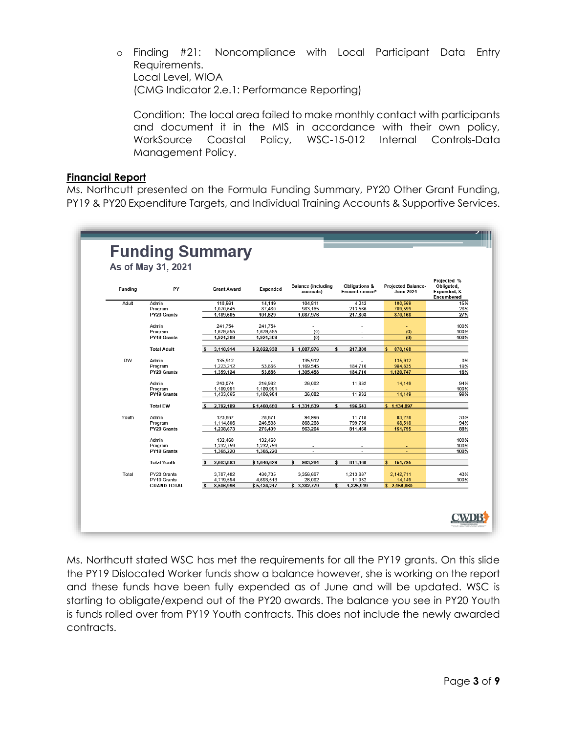o Finding #21: Noncompliance with Local Participant Data Entry Requirements. Local Level, WIOA (CMG Indicator 2.e.1: Performance Reporting)

Condition: The local area failed to make monthly contact with participants and document it in the MIS in accordance with their own policy, WorkSource Coastal Policy, WSC-15-012 Internal Controls-Data Management Policy.

#### **Financial Report**

Ms. Northcutt presented on the Formula Funding Summary, PY20 Other Grant Funding, PY19 & PY20 Expenditure Targets, and Individual Training Accounts & Supportive Services.

| Funding   | PY                         | <b>Grant Award</b>     | Expended             | <b>Balance (including</b><br>accruals) | Obligations &<br>Encumbrances* | <b>Projected Balance-</b><br>-June 2021 | Projected %<br>Obligated,<br>Expended, &<br>Encumbered |
|-----------|----------------------------|------------------------|----------------------|----------------------------------------|--------------------------------|-----------------------------------------|--------------------------------------------------------|
| Adult     | Admin                      | 118.961                | 14,149               | 104,811                                | 4.242                          | 100,569                                 | 15%                                                    |
|           | Program                    | 1,070,645              | 87,480               | 983,165                                | 213,566                        | 769,599                                 | 28%                                                    |
|           | PY20 Grants                | 1,189,605              | 101,629              | 1,087,976                              | 217,808                        | 870,168                                 | 27%                                                    |
|           | Admin                      | 241.754                | 241.754              | ÷.                                     |                                |                                         | 100%                                                   |
|           | Program                    | 1,679,555              | 1.679.555            | (0)                                    |                                | (0)                                     | 100%                                                   |
|           | PY19 Grants                | 1,921,309              | 1,921,309            | (0)                                    |                                | (0)                                     | 100%                                                   |
|           |                            |                        |                      |                                        |                                |                                         |                                                        |
|           | <b>Total Adult</b>         | 3.110.914              | \$2,022,938          | \$1,087,976                            | 217.808<br>\$                  | 870.168<br>s                            |                                                        |
| <b>DW</b> | Admin                      | 135.912                |                      | 135.912                                |                                | 135.912                                 |                                                        |
|           | Program                    | 1,223,212              | 53,666               | 1,169,545                              | 184,710                        | 984,835                                 | 19%                                                    |
|           | PY20 Grants                | 1,359,124              | 53,666               | 1.305.458                              | 184.710                        | 1,120,747                               | 18%                                                    |
|           | Admin                      | 243,074                | 216,992              | 26,082                                 | 11,932                         | 14,149                                  | 94%                                                    |
|           | Program                    | 1.189.991              | 1.189.991            |                                        |                                |                                         | 100%                                                   |
|           | PY19 Grants                | 1,433,065              | 1,406,984            | 26,082                                 | 11,932                         | 14,149                                  | 99%                                                    |
|           |                            |                        |                      |                                        |                                |                                         |                                                        |
|           | <b>Total DW</b>            | 2,792,189              | \$1,460,650          | \$1,331,539                            | 196.643                        | \$1,134.897                             |                                                        |
| Youth     | Admin                      | 123.867                | 28.871               | 94.996                                 | 11.718                         | 83.278                                  | 33%                                                    |
|           | Program                    | 1,114,806              | 246,538              | 868.268                                | 799.750                        | 68.518                                  | 94%                                                    |
|           | PY20 Grants                | 1.238,673              | 275,409              | 963.264                                | 811,468                        | 151,795                                 | 88%                                                    |
|           | Admin                      | 132,460                | 132,460              |                                        |                                |                                         | 100%                                                   |
|           | Program                    | 1,232,759              | 1,232,759            |                                        |                                |                                         | 100%                                                   |
|           | PY19 Grants                | 1,365,220              | 1,365,220            | $\sim$                                 |                                |                                         | 100%                                                   |
|           | <b>Total Youth</b>         | 2,603,893              | \$1,640,629          | 963.264<br>s                           | \$<br>811,468                  | $\mathbf{s}$<br>151,795                 |                                                        |
|           |                            |                        |                      |                                        |                                |                                         |                                                        |
| Total     | PY20 Grants<br>PY19 Grants | 3,787.402<br>4,719,594 | 430,705<br>4.693.513 | 3,356,697<br>26.082                    | 1,213,987<br>11,932            | 2,142,711<br>14.149                     | 43%<br>100%                                            |
|           | <b>GRAND TOTAL</b>         | 8,506,996<br>s         | \$5,124,217          | \$3,382,779                            | 1,225,919<br>\$                | \$2,156,860                             |                                                        |

Ms. Northcutt stated WSC has met the requirements for all the PY19 grants. On this slide the PY19 Dislocated Worker funds show a balance however, she is working on the report and these funds have been fully expended as of June and will be updated. WSC is starting to obligate/expend out of the PY20 awards. The balance you see in PY20 Youth is funds rolled over from PY19 Youth contracts. This does not include the newly awarded contracts.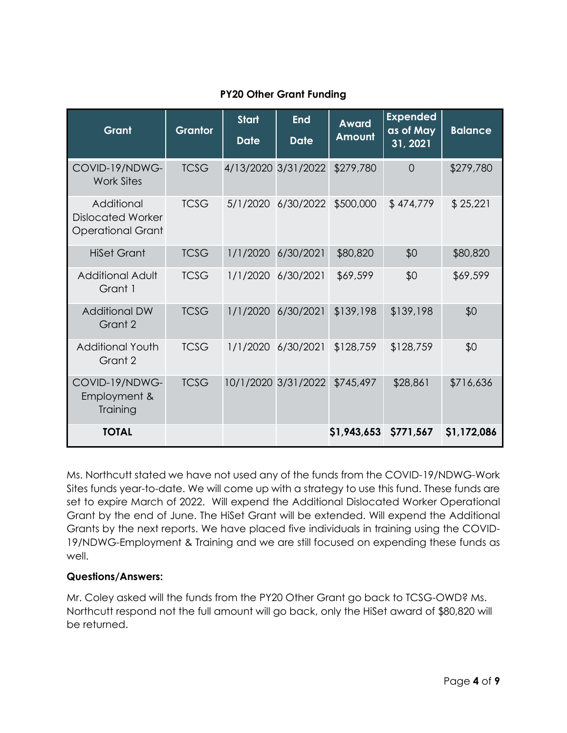| Grant                                                              | <b>Grantor</b> | <b>Start</b><br><b>Date</b> | <b>End</b><br><b>Date</b> | <b>Award</b><br>Amount | <b>Expended</b><br>as of May<br>31, 2021 | <b>Balance</b> |
|--------------------------------------------------------------------|----------------|-----------------------------|---------------------------|------------------------|------------------------------------------|----------------|
| COVID-19/NDWG-<br><b>Work Sites</b>                                | <b>TCSG</b>    |                             | 4/13/2020 3/31/2022       | \$279,780              | $\Omega$                                 | \$279,780      |
| Additional<br><b>Dislocated Worker</b><br><b>Operational Grant</b> | <b>TCSG</b>    |                             | 5/1/2020 6/30/2022        | \$500,000              | \$474,779                                | \$25,221       |
| <b>HiSet Grant</b>                                                 | <b>TCSG</b>    | 1/1/2020                    | 6/30/2021                 | \$80,820               | \$0                                      | \$80,820       |
| <b>Additional Adult</b><br>Grant 1                                 | <b>TCSG</b>    |                             | 1/1/2020 6/30/2021        | \$69,599               | \$0                                      | \$69,599       |
| <b>Additional DW</b><br>Grant 2                                    | <b>TCSG</b>    | 1/1/2020                    | 6/30/2021                 | \$139,198              | \$139,198                                | \$0            |
| <b>Additional Youth</b><br>Grant 2                                 | <b>TCSG</b>    | 1/1/2020                    | 6/30/2021                 | \$128,759              | \$128,759                                | \$0            |
| COVID-19/NDWG-<br>Employment &<br>Training                         | <b>TCSG</b>    |                             | 10/1/2020 3/31/2022       | \$745,497              | \$28,861                                 | \$716,636      |
| <b>TOTAL</b>                                                       |                |                             |                           | \$1,943,653            | \$771,567                                | \$1,172,086    |

## **PY20 Other Grant Funding**

Ms. Northcutt stated we have not used any of the funds from the COVID-19/NDWG-Work Sites funds year-to-date. We will come up with a strategy to use this fund. These funds are set to expire March of 2022. Will expend the Additional Dislocated Worker Operational Grant by the end of June. The HiSet Grant will be extended. Will expend the Additional Grants by the next reports. We have placed five individuals in training using the COVID-19/NDWG-Employment & Training and we are still focused on expending these funds as well.

## **Questions/Answers:**

Mr. Coley asked will the funds from the PY20 Other Grant go back to TCSG-OWD? Ms. Northcutt respond not the full amount will go back, only the HiSet award of \$80,820 will be returned.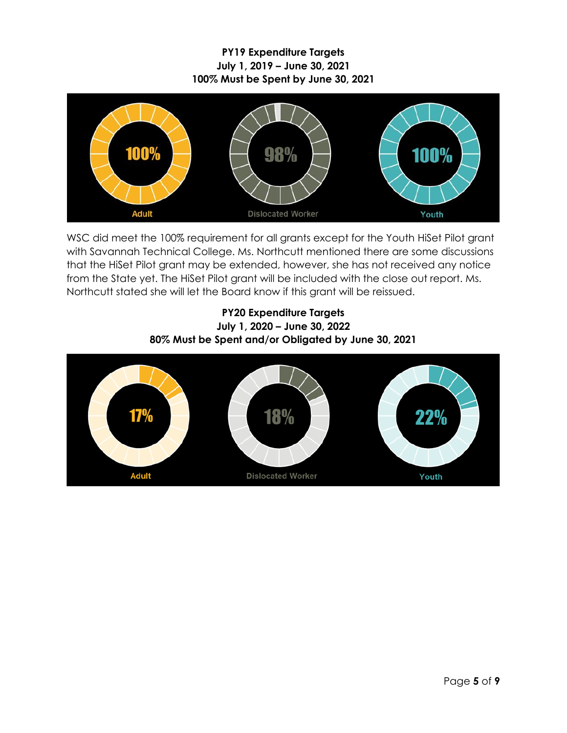**PY19 Expenditure Targets July 1, 2019 – June 30, 2021 100% Must be Spent by June 30, 2021**



WSC did meet the 100% requirement for all grants except for the Youth HiSet Pilot grant with Savannah Technical College. Ms. Northcutt mentioned there are some discussions that the HiSet Pilot grant may be extended, however, she has not received any notice from the State yet. The HiSet Pilot grant will be included with the close out report. Ms. Northcutt stated she will let the Board know if this grant will be reissued.

## **PY20 Expenditure Targets July 1, 2020 – June 30, 2022 80% Must be Spent and/or Obligated by June 30, 2021**

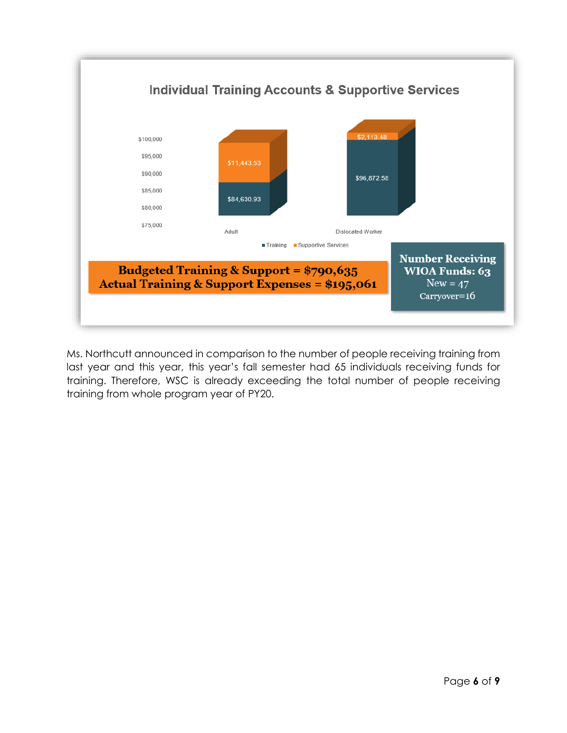

Ms. Northcutt announced in comparison to the number of people receiving training from last year and this year, this year's fall semester had 65 individuals receiving funds for training. Therefore, WSC is already exceeding the total number of people receiving training from whole program year of PY20.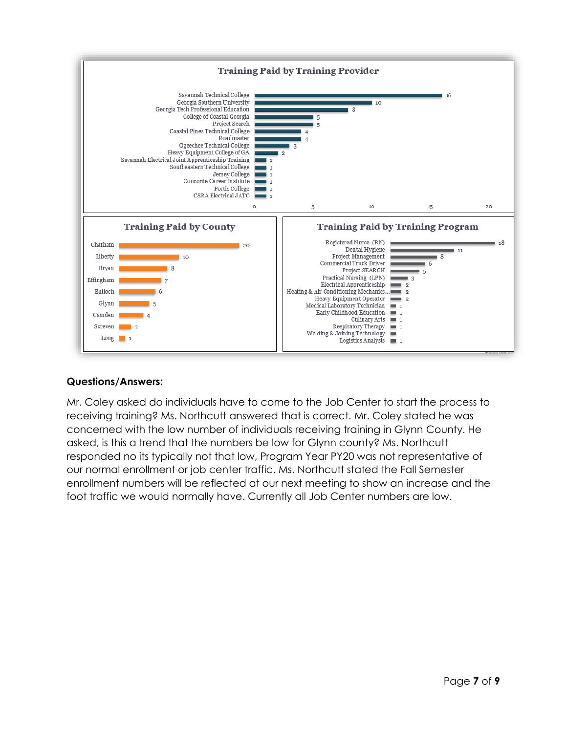

## **Questions/Answers:**

Mr. Coley asked do individuals have to come to the Job Center to start the process to receiving training? Ms. Northcutt answered that is correct. Mr. Coley stated he was concerned with the low number of individuals receiving training in Glynn County. He asked, is this a trend that the numbers be low for Glynn county? Ms. Northcutt responded no its typically not that low, Program Year PY20 was not representative of our normal enrollment or job center traffic. Ms. Northcutt stated the Fall Semester enrollment numbers will be reflected at our next meeting to show an increase and the foot traffic we would normally have. Currently all Job Center numbers are low.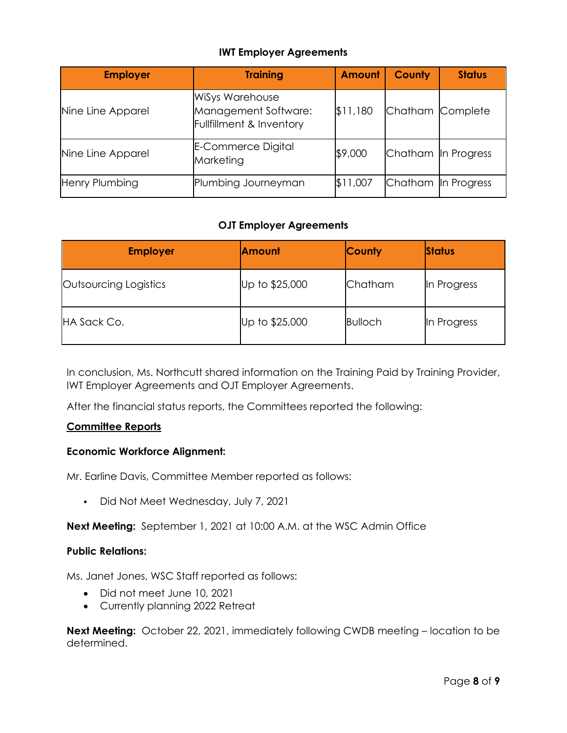## **IWT Employer Agreements**

| <b>Employer</b>   | <b>Training</b>                                                            | <b>Amount</b> | <b>County</b>       | <b>Status</b> |
|-------------------|----------------------------------------------------------------------------|---------------|---------------------|---------------|
| Nine Line Apparel | <b>WiSys Warehouse</b><br>Management Software:<br>Fullfillment & Inventory | \$11,180      | Chatham Complete    |               |
| Nine Line Apparel | <b>E-Commerce Digital</b><br>Marketing                                     | \$9,000       | Chatham In Progress |               |
| Henry Plumbing    | Plumbing Journeyman                                                        | \$11,007      | Chatham In Progress |               |

## **OJT Employer Agreements**

| <b>Employer</b>       | <b>Amount</b>  | <b>County</b>  | <b>Status</b> |
|-----------------------|----------------|----------------|---------------|
| Outsourcing Logistics | Up to \$25,000 | Chatham        | In Progress   |
| HA Sack Co.           | Up to \$25,000 | <b>Bulloch</b> | In Progress   |

In conclusion, Ms. Northcutt shared information on the Training Paid by Training Provider, IWT Employer Agreements and OJT Employer Agreements.

After the financial status reports, the Committees reported the following:

#### **Committee Reports**

#### **Economic Workforce Alignment:**

Mr. Earline Davis, Committee Member reported as follows:

• Did Not Meet Wednesday, July 7, 2021

**Next Meeting:** September 1, 2021 at 10:00 A.M. at the WSC Admin Office

#### **Public Relations:**

Ms. Janet Jones, WSC Staff reported as follows:

- Did not meet June 10, 2021
- Currently planning 2022 Retreat

**Next Meeting:** October 22, 2021, immediately following CWDB meeting – location to be determined.